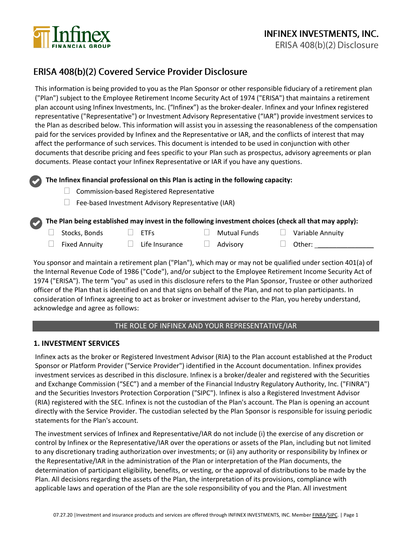

# ERISA 408(b)(2) Covered Service Provider Disclosure

This information is being provided to you as the Plan Sponsor or other responsible fiduciary of a retirement plan ("Plan") subject to the Employee Retirement Income Security Act of 1974 ("ERISA") that maintains a retirement plan account using Infinex Investments, Inc. ("Infinex") as the broker-dealer. Infinex and your Infinex registered representative ("Representative") or Investment Advisory Representative ("IAR") provide investment services to the Plan as described below. This information will assist you in assessing the reasonableness of the compensation paid for the services provided by Infinex and the Representative or IAR, and the conflicts of interest that may affect the performance of such services. This document is intended to be used in conjunction with other documents that describe pricing and fees specific to your Plan such as prospectus, advisory agreements or plan documents. Please contact your Infinex Representative or IAR if you have any questions.

## **The Infinex financial professional on this Plan is acting in the following capacity:**

- $\Box$  Commission-based Registered Representative
- $\Box$  Fee-based Investment Advisory Representative (IAR)

### **The Plan being established may invest in the following investment choices (check all that may apply):**

- $\Box$  ETFs  $\Box$  Mutual Funds  $\Box$  Variable Annuity
	-
- 
- $\Box$  Fixed Annuity  $\Box$  Life Insurance  $\Box$  Advisory  $\Box$  Other:
- 
- 

You sponsor and maintain a retirement plan ("Plan"), which may or may not be qualified under section 401(a) of the Internal Revenue Code of 1986 ("Code"), and/or subject to the Employee Retirement Income Security Act of 1974 ("ERISA"). The term "you" as used in this disclosure refers to the Plan Sponsor, Trustee or other authorized officer of the Plan that is identified on and that signs on behalf of the Plan, and not to plan participants. In consideration of Infinex agreeing to act as broker or investment adviser to the Plan, you hereby understand, acknowledge and agree as follows:

# THE ROLE OF INFINEX AND YOUR REPRESENTATIVE/IAR

### **1. INVESTMENT SERVICES**

Infinex acts as the broker or Registered Investment Advisor (RIA) to the Plan account established at the Product Sponsor or Platform Provider ("Service Provider") identified in the Account documentation. Infinex provides investment services as described in this disclosure. Infinex is a broker/dealer and registered with the Securities and Exchange Commission ("SEC") and a member of the Financial Industry Regulatory Authority, Inc. ("FINRA") and the Securities Investors Protection Corporation ("SIPC"). Infinex is also a Registered Investment Advisor (RIA) registered with the SEC. Infinex is not the custodian of the Plan's account. The Plan is opening an account directly with the Service Provider. The custodian selected by the Plan Sponsor is responsible for issuing periodic statements for the Plan's account.

The investment services of Infinex and Representative/IAR do not include (i) the exercise of any discretion or control by Infinex or the Representative/IAR over the operations or assets of the Plan, including but not limited to any discretionary trading authorization over investments; or (ii) any authority or responsibility by Infinex or the Representative/IAR in the administration of the Plan or interpretation of the Plan documents, the determination of participant eligibility, benefits, or vesting, or the approval of distributions to be made by the Plan. All decisions regarding the assets of the Plan, the interpretation of its provisions, compliance with applicable laws and operation of the Plan are the sole responsibility of you and the Plan. All investment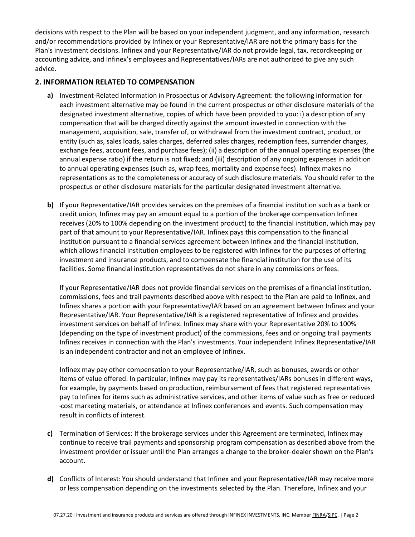decisions with respect to the Plan will be based on your independent judgment, and any information, research and/or recommendations provided by Infinex or your Representative/IAR are not the primary basis for the Plan's investment decisions. Infinex and your Representative/IAR do not provide legal, tax, recordkeeping or accounting advice, and Infinex's employees and Representatives/IARs are not authorized to give any such advice.

# **2. INFORMATION RELATED TO COMPENSATION**

- **a)** Investment-Related Information in Prospectus or Advisory Agreement: the following information for each investment alternative may be found in the current prospectus or other disclosure materials of the designated investment alternative, copies of which have been provided to you: i) a description of any compensation that will be charged directly against the amount invested in connection with the management, acquisition, sale, transfer of, or withdrawal from the investment contract, product, or entity (such as, sales loads, sales charges, deferred sales charges, redemption fees, surrender charges, exchange fees, account fees, and purchase fees); (ii) a description of the annual operating expenses (the annual expense ratio) if the return is not fixed; and (iii) description of any ongoing expenses in addition to annual operating expenses (such as, wrap fees, mortality and expense fees). Infinex makes no representations as to the completeness or accuracy of such disclosure materials. You should refer to the prospectus or other disclosure materials for the particular designated investment alternative.
- **b)** If your Representative/IAR provides services on the premises of a financial institution such as a bank or credit union, Infinex may pay an amount equal to a portion of the brokerage compensation Infinex receives (20% to 100% depending on the investment product) to the financial institution, which may pay part of that amount to your Representative/IAR. Infinex pays this compensation to the financial institution pursuant to a financial services agreement between Infinex and the financial institution, which allows financial institution employees to be registered with Infinex for the purposes of offering investment and insurance products, and to compensate the financial institution for the use of its facilities. Some financial institution representatives do not share in any commissions or fees.

If your Representative/IAR does not provide financial services on the premises of a financial institution, commissions, fees and trail payments described above with respect to the Plan are paid to Infinex, and Infinex shares a portion with your Representative/IAR based on an agreement between Infinex and your Representative/IAR. Your Representative/IAR is a registered representative of Infinex and provides investment services on behalf of Infinex. Infinex may share with your Representative 20% to 100% (depending on the type of investment product) of the commissions, fees and or ongoing trail payments Infinex receives in connection with the Plan's investments. Your independent Infinex Representative/IAR is an independent contractor and not an employee of Infinex.

Infinex may pay other compensation to your Representative/IAR, such as bonuses, awards or other items of value offered. In particular, Infinex may pay its representatives/IARs bonuses in different ways, for example, by payments based on production, reimbursement of fees that registered representatives pay to Infinex for items such as administrative services, and other items of value such as free or reduced- ‐‐cost marketing materials, or attendance at Infinex conferences and events. Such compensation may result in conflicts of interest.

- **c)** Termination of Services: If the brokerage services under this Agreement are terminated, Infinex may continue to receive trail payments and sponsorship program compensation as described above from the investment provider or issuer until the Plan arranges a change to the broker-dealer shown on the Plan's account.
- **d)** Conflicts of Interest: You should understand that Infinex and your Representative/IAR may receive more or less compensation depending on the investments selected by the Plan. Therefore, Infinex and your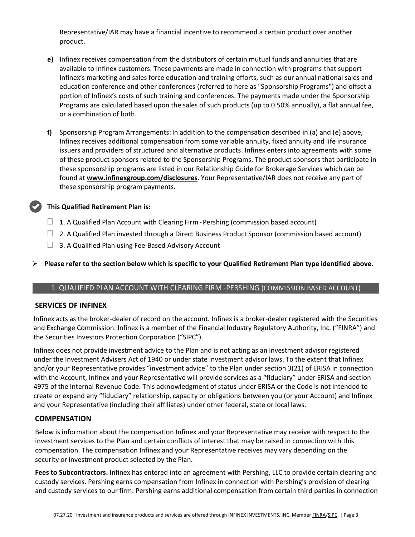Representative/IAR may have a financial incentive to recommend a certain product over another product.

- **e)** Infinex receives compensation from the distributors of certain mutual funds and annuities that are available to Infinex customers. These payments are made in connection with programs that support Infinex's marketing and sales force education and training efforts, such as our annual national sales and education conference and other conferences (referred to here as "Sponsorship Programs") and offset a portion of Infinex's costs of such training and conferences. The payments made under the Sponsorship Programs are calculated based upon the sales of such products (up to 0.50% annually), a flat annual fee, or a combination of both.
- **f)** Sponsorship Program Arrangements: In addition to the compensation described in (a) and (e) above, Infinex receives additional compensation from some variable annuity, fixed annuity and life insurance issuers and providers of structured and alternative products. Infinex enters into agreements with some of these product sponsors related to the Sponsorship Programs. The product sponsors that participate in these sponsorship programs are listed in our Relationship Guide for Brokerage Services which can be found at **[www.infinexgroup.com/disclosures](http://www.infinexgroup.com/disclosures)**. Your Representative/IAR does not receive any part of these sponsorship program payments.

#### **This Qualified Retirement Plan is:**

- $\Box$  1. A Qualified Plan Account with Clearing Firm Pershing (commission based account)
- $\Box$  2. A Qualified Plan invested through a Direct Business Product Sponsor (commission based account)
- $\Box$  3. A Qualified Plan using Fee-Based Advisory Account

#### ➢ **Please refer to the section below which is specific to your Qualified Retirement Plan type identified above.**

#### 1. QUALIFIED PLAN ACCOUNT WITH CLEARING FIRM ‐‐ PERSHING (COMMISSION BASED ACCOUNT)

#### **SERVICES OF INFINEX**

Infinex acts as the broker-dealer of record on the account. Infinex is a broker-dealer registered with the Securities and Exchange Commission. Infinex is a member of the Financial Industry Regulatory Authority, Inc. ("FINRA") and the Securities Investors Protection Corporation ("SIPC").

Infinex does not provide investment advice to the Plan and is not acting as an investment advisor registered under the Investment Advisers Act of 1940 or under state investment advisor laws. To the extent that Infinex and/or your Representative provides "investment advice" to the Plan under section 3(21) of ERISA in connection with the Account, Infinex and your Representative will provide services as a "fiduciary" under ERISA and section 4975 of the Internal Revenue Code. This acknowledgment of status under ERISA or the Code is not intended to create or expand any "fiduciary" relationship, capacity or obligations between you (or your Account) and Infinex and your Representative (including their affiliates) under other federal, state or local laws.

#### **COMPENSATION**

Below is information about the compensation Infinex and your Representative may receive with respect to the investment services to the Plan and certain conflicts of interest that may be raised in connection with this compensation. The compensation Infinex and your Representative receives may vary depending on the security or investment product selected by the Plan.

**Fees to Subcontractors.** Infinex has entered into an agreement with Pershing, LLC to provide certain clearing and custody services. Pershing earns compensation from Infinex in connection with Pershing's provision of clearing and custody services to our firm. Pershing earns additional compensation from certain third parties in connection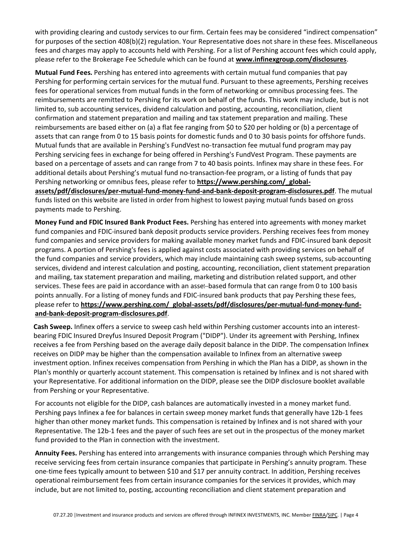with providing clearing and custody services to our firm. Certain fees may be considered "indirect compensation" for purposes of the section 408(b)(2) regulation. Your Representative does not share in these fees. Miscellaneous fees and charges may apply to accounts held with Pershing. For a list of Pershing account fees which could apply, please refer to the Brokerage Fee Schedule which can be found at **[www.infinexgroup.com/disclosures](http://www.infinexgroup.com/disclosures)**.

**Mutual Fund Fees.** Pershing has entered into agreements with certain mutual fund companies that pay Pershing for performing certain services for the mutual fund. Pursuant to these agreements, Pershing receives fees for operational services from mutual funds in the form of networking or omnibus processing fees. The reimbursements are remitted to Pershing for its work on behalf of the funds. This work may include, but is not limited to, sub accounting services, dividend calculation and posting, accounting, reconciliation, client confirmation and statement preparation and mailing and tax statement preparation and mailing. These reimbursements are based either on (a) a flat fee ranging from \$0 to \$20 per holding or (b) a percentage of assets that can range from 0 to 15 basis points for domestic funds and 0 to 30 basis points for offshore funds. Mutual funds that are available in Pershing's FundVest no-transaction fee mutual fund program may pay Pershing servicing fees in exchange for being offered in Pershing's FundVest Program. These payments are based on a percentage of assets and can range from 7 to 40 basis points. Infinex may share in these fees. For additional details about Pershing's mutual fund no-transaction-fee program, or a listing of funds that pay Pershing networking or omnibus fees, please refer to **[https://www.pershing.com/\\_global](http://www.pershing.com/mutual_fund.htm)[assets/pdf/disclosures/per-mutual-fund-money-fund-and-bank-deposit-program-disclosures.pdf](http://www.pershing.com/mutual_fund.htm)**. The mutual funds listed on this website are listed in order from highest to lowest paying mutual funds based on gross payments made to Pershing.

**Money Fund and FDIC Insured Bank Product Fees.** Pershing has entered into agreements with money market fund companies and FDIC-insured bank deposit products service providers. Pershing receives fees from money fund companies and service providers for making available money market funds and FDIC-insured bank deposit programs. A portion of Pershing's fees is applied against costs associated with providing services on behalf of the fund companies and service providers, which may include maintaining cash sweep systems, sub-accounting services, dividend and interest calculation and posting, accounting, reconciliation, client statement preparation and mailing, tax statement preparation and mailing, marketing and distribution related support, and other services. These fees are paid in accordance with an asset--based formula that can range from 0 to 100 basis points annually. For a listing of money funds and FDIC-insured bank products that pay Pershing these fees, please refer to https://www.pershing.com/global-assets/pdf/disclosures/per-mutual-fund-money-fund**[and-bank-deposit-program-disclosures.pdf](https://www.pershing.com/_global-assets/pdf/disclosures/per-mutual-fund-money-fund-and-bank-deposit-program-disclosures.pdf)**.

**Cash Sweep.** Infinex offers a service to sweep cash held within Pershing customer accounts into an interest-‐‐ bearing FDIC Insured Dreyfus Insured Deposit Program ("DIDP"). Under its agreement with Pershing, Infinex receives a fee from Pershing based on the average daily deposit balance in the DIDP. The compensation Infinex receives on DIDP may be higher than the compensation available to Infinex from an alternative sweep investment option. Infinex receives compensation from Pershing in which the Plan has a DIDP, as shown in the Plan's monthly or quarterly account statement. This compensation is retained by Infinex and is not shared with your Representative. For additional information on the DIDP, please see the DIDP disclosure booklet available from Pershing or your Representative.

For accounts not eligible for the DIDP, cash balances are automatically invested in a money market fund. Pershing pays Infinex a fee for balances in certain sweep money market funds that generally have 12b-1 fees higher than other money market funds. This compensation is retained by Infinex and is not shared with your Representative. The 12b-1 fees and the payer of such fees are set out in the prospectus of the money market fund provided to the Plan in connection with the investment.

**Annuity Fees.** Pershing has entered into arrangements with insurance companies through which Pershing may receive servicing fees from certain insurance companies that participate in Pershing's annuity program. These one-time fees typically amount to between \$10 and \$17 per annuity contract. In addition, Pershing receives operational reimbursement fees from certain insurance companies for the services it provides, which may include, but are not limited to, posting, accounting reconciliation and client statement preparation and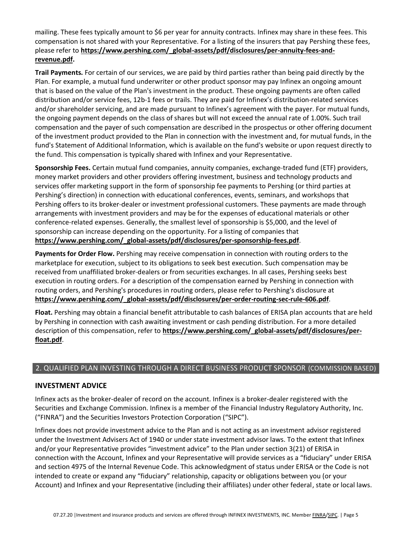mailing. These fees typically amount to \$6 per year for annuity contracts. Infinex may share in these fees. This compensation is not shared with your Representative. For a listing of the insurers that pay [Pershing these fees,](http://www.pershing.com/annuity_fees.htm)  please refer to **[https://www.pershing.com/\\_global-assets/pdf/disclosures/per-annuity-fees-and](http://www.pershing.com/annuity_fees.htm)[revenue.pdf.](https://www.pershing.com/_global-assets/pdf/disclosures/per-annuity-fees-and-revenue.pdf)**

**Trail Payments.** For certain of our services, we are paid by third parties rather than being paid directly by the Plan. For example, a mutual fund underwriter or other product sponsor may pay Infinex an ongoing amount that is based on the value of the Plan's investment in the product. These ongoing payments are often called distribution and/or service fees, 12b-1 fees or trails. They are paid for Infinex's distribution-related services and/or shareholder servicing, and are made pursuant to Infinex's agreement with the payer. For mutual funds, the ongoing payment depends on the class of shares but will not exceed the annual rate of 1.00%. Such trail compensation and the payer of such compensation are described in the prospectus or other offering document of the investment product provided to the Plan in connection with the investment and, for mutual funds, in the fund's Statement of Additional Information, which is available on the fund's website or upon request directly to the fund. This compensation is typically shared with Infinex and your Representative.

Sponsorship Fees. Certain mutual fund companies, annuity companies, exchange-traded fund (ETF) providers, money market providers and other providers offering investment, business and technology products and services offer marketing support in the form of sponsorship fee payments to Pershing (or third parties at Pershing's direction) in connection with educational conferences, events, seminars, and workshops that Pershing offers to its broker-dealer or investment professional customers. These payments are made through arrangements with investment providers and may be for the expenses of educational materials or other conference-related expenses. Generally, the smallest level of sponsorship is \$5,000, and the level of sponsorship can increase depending on the opportunity. For a listing of companies that **[https://www.pershing.com/\\_global-assets/pdf/disclosures/per-sponsorship-fees.pdf](https://www.pershing.com/_global-assets/pdf/disclosures/per-sponsorship-fees.pdf)**.

**Payments for Order Flow.** Pershing may receive compensation in connection with routing orders to the marketplace for execution, subject to its obligations to seek best execution. Such compensation may be received from unaffiliated broker--dealers or from securities exchanges. In all cases, Pershing seeks best execution in routing orders. For a description of the compensation earned by Pershing in connection with routing orders, and Pershing's procedures in routing orders, please refer to Pershing's disclosure a[t](http://www.orderroutingdisclosure.com/orderrouting/HOME) **[https://www.pershing.com/\\_global-assets/pdf/disclosures/per-order-routing-sec-rule-606.pdf](https://www.pershing.com/_global-assets/pdf/disclosures/per-order-routing-sec-rule-606.pdf)**.

**Float.** Pershing may obtain a financial benefit attributable to cash balances of ERISA plan accounts that are held by Pershing in connection with cash awaiting investment or cash pending distribution. For a more detailed description of this compensation, refer to **[https://www.pershing.com/\\_global-assets/pdf/disclosures/per](https://www.pershing.com/_global-assets/pdf/disclosures/per-float.pdf)[float.pdf](https://www.pershing.com/_global-assets/pdf/disclosures/per-float.pdf)**.

### 2. QUALIFIED PLAN INVESTING THROUGH A DIRECT BUSINESS PRODUCT SPONSOR (COMMISSION BASED)

### **INVESTMENT ADVICE**

Infinex acts as the broker-dealer of record on the account. Infinex is a broker-dealer registered with the Securities and Exchange Commission. Infinex is a member of the Financial Industry Regulatory Authority, Inc. ("FINRA") and the Securities Investors Protection Corporation ("SIPC").

Infinex does not provide investment advice to the Plan and is not acting as an investment advisor registered under the Investment Advisers Act of 1940 or under state investment advisor laws. To the extent that Infinex and/or your Representative provides "investment advice" to the Plan under section 3(21) of ERISA in connection with the Account, Infinex and your Representative will provide services as a "fiduciary" under ERISA and section 4975 of the Internal Revenue Code. This acknowledgment of status under ERISA or the Code is not intended to create or expand any "fiduciary" relationship, capacity or obligations between you (or your Account) and Infinex and your Representative (including their affiliates) under other federal, state or local laws.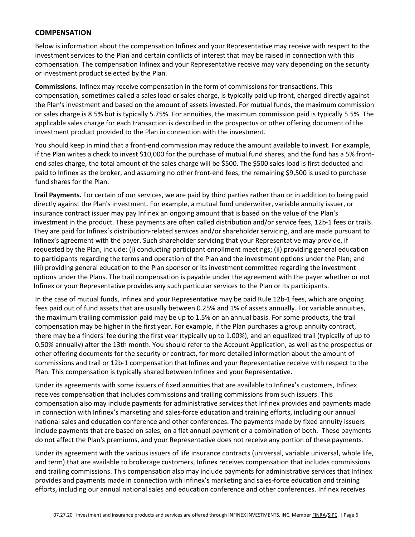### **COMPENSATION**

Below is information about the compensation Infinex and your Representative may receive with respect to the investment services to the Plan and certain conflicts of interest that may be raised in connection with this compensation. The compensation Infinex and your Representative receive may vary depending on the security or investment product selected by the Plan.

**Commissions.** Infinex may receive compensation in the form of commissions for transactions. This compensation, sometimes called a sales load or sales charge, is typically paid up front, charged directly against the Plan's investment and based on the amount of assets invested. For mutual funds, the maximum commission or sales charge is 8.5% but is typically 5.75%. For annuities, the maximum commission paid is typically 5.5%. The applicable sales charge for each transaction is described in the prospectus or other offering document of the investment product provided to the Plan in connection with the investment.

You should keep in mind that a front-end commission may reduce the amount available to invest. For example, if the Plan writes a check to invest \$10,000 for the purchase of mutual fund shares, and the fund has a 5% frontend sales charge, the total amount of the sales charge will be \$500. The \$500 sales load is first deducted and paid to Infinex as the broker, and assuming no other front-end fees, the remaining \$9,500 is used to purchase fund shares for the Plan.

**Trail Payments.** For certain of our services, we are paid by third parties rather than or in addition to being paid directly against the Plan's investment. For example, a mutual fund underwriter, variable annuity issuer, or insurance contract issuer may pay Infinex an ongoing amount that is based on the value of the Plan's investment in the product. These payments are often called distribution and/or service fees, 12b-1 fees or trails. They are paid for Infinex's distribution-related services and/or shareholder servicing, and are made pursuant to Infinex's agreement with the payer. Such shareholder servicing that your Representative may provide, if requested by the Plan, include: (i) conducting participant enrollment meetings; (ii) providing general education to participants regarding the terms and operation of the Plan and the investment options under the Plan; and (iii) providing general education to the Plan sponsor or its investment committee regarding the investment options under the Plans. The trail compensation is payable under the agreement with the payer whether or not Infinex or your Representative provides any such particular services to the Plan or its participants.

In the case of mutual funds, Infinex and your Representative may be paid Rule 12b-1 fees, which are ongoing fees paid out of fund assets that are usually between 0.25% and 1% of assets annually. For variable annuities, the maximum trailing commission paid may be up to 1.5% on an annual basis. For some products, the trail compensation may be higher in the first year. For example, if the Plan purchases a group annuity contract, there may be a finders' fee during the first year (typically up to 1.00%), and an equalized trail (typically of up to 0.50% annually) after the 13th month. You should refer to the Account Application, as well as the prospectus or other offering documents for the security or contract, for more detailed information about the amount of commissions and trail or 12b-1 compensation that Infinex and your Representative receive with respect to the Plan. This compensation is typically shared between Infinex and your Representative.

Under its agreements with some issuers of fixed annuities that are available to Infinex's customers, Infinex receives compensation that includes commissions and trailing commissions from such issuers. This compensation also may include payments for administrative services that Infinex provides and payments made in connection with Infinex's marketing and sales-force education and training efforts, including our annual national sales and education conference and other conferences. The payments made by fixed annuity issuers include payments that are based on sales, on a flat annual payment or a combination of both. These payments do not affect the Plan's premiums, and your Representative does not receive any portion of these payments.

Under its agreement with the various issuers of life insurance contracts (universal, variable universal, whole life, and term) that are available to brokerage customers, Infinex receives compensation that includes commissions and trailing commissions. This compensation also may include payments for administrative services that Infinex provides and payments made in connection with Infinex's marketing and sales-force education and training efforts, including our annual national sales and education conference and other conferences. Infinex receives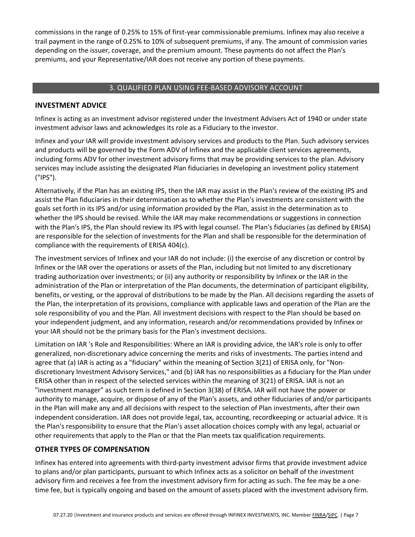commissions in the range of 0.25% to 15% of first-year commissionable premiums. Infinex may also receive a trail payment in the range of 0.25% to 10% of subsequent premiums, if any. The amount of commission varies depending on the issuer, coverage, and the premium amount. These payments do not affect the Plan's premiums, and your Representative/IAR does not receive any portion of these payments.

# 3. QUALIFIED PLAN USING FEE-BASED ADVISORY ACCOUNT

### **INVESTMENT ADVICE**

Infinex is acting as an investment advisor registered under the Investment Advisers Act of 1940 or under state investment advisor laws and acknowledges its role as a Fiduciary to the investor.

Infinex and your IAR will provide investment advisory services and products to the Plan. Such advisory services and products will be governed by the Form ADV of Infinex and the applicable client services agreements, including forms ADV for other investment advisory firms that may be providing services to the plan. Advisory services may include assisting the designated Plan fiduciaries in developing an investment policy statement ("IPS").

Alternatively, if the Plan has an existing IPS, then the IAR may assist in the Plan's review of the existing IPS and assist the Plan fiduciaries in their determination as to whether the Plan's investments are consistent with the goals set forth in its IPS and/or using information provided by the Plan, assist in the determination as to whether the IPS should be revised. While the IAR may make recommendations or suggestions in connection with the Plan's IPS, the Plan should review its IPS with legal counsel. The Plan's fiduciaries (as defined by ERISA) are responsible for the selection of investments for the Plan and shall be responsible for the determination of compliance with the requirements of ERISA 404(c).

The investment services of Infinex and your IAR do not include: (i) the exercise of any discretion or control by Infinex or the IAR over the operations or assets of the Plan, including but not limited to any discretionary trading authorization over investments; or (ii) any authority or responsibility by Infinex or the IAR in the administration of the Plan or interpretation of the Plan documents, the determination of participant eligibility, benefits, or vesting, or the approval of distributions to be made by the Plan. All decisions regarding the assets of the Plan, the interpretation of its provisions, compliance with applicable laws and operation of the Plan are the sole responsibility of you and the Plan. All investment decisions with respect to the Plan should be based on your independent judgment, and any information, research and/or recommendations provided by Infinex or your IAR should not be the primary basis for the Plan's investment decisions.

Limitation on IAR 's Role and Responsibilities: Where an IAR is providing advice, the IAR's role is only to offer generalized, non-discretionary advice concerning the merits and risks of investments. The parties intend and agree that (a) IAR is acting as a "fiduciary" within the meaning of Section 3(21) of ERISA only, for "Nondiscretionary Investment Advisory Services," and (b) IAR has no responsibilities as a fiduciary for the Plan under ERISA other than in respect of the selected services within the meaning of 3(21) of ERISA. IAR is not an "investment manager" as such term is defined in Section 3(38) of ERISA. IAR will not have the power or authority to manage, acquire, or dispose of any of the Plan's assets, and other fiduciaries of and/or participants in the Plan will make any and all decisions with respect to the selection of Plan investments, after their own independent consideration. IAR does not provide legal, tax, accounting, recordkeeping or actuarial advice. It is the Plan's responsibility to ensure that the Plan's asset allocation choices comply with any legal, actuarial or other requirements that apply to the Plan or that the Plan meets tax qualification requirements.

# **OTHER TYPES OF COMPENSATION**

Infinex has entered into agreements with third-party investment advisor firms that provide investment advice to plans and/or plan participants, pursuant to which Infinex acts as a solicitor on behalf of the investment advisory firm and receives a fee from the investment advisory firm for acting as such. The fee may be a onetime fee, but is typically ongoing and based on the amount of assets placed with the investment advisory firm.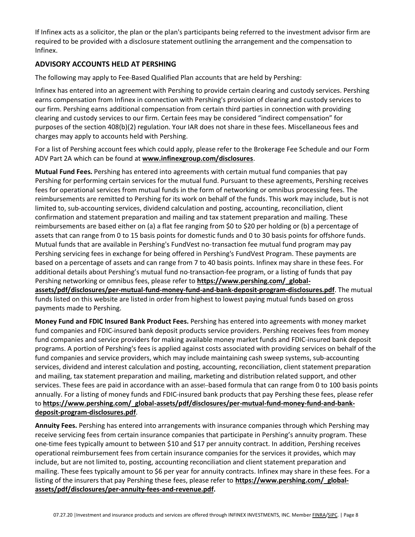If Infinex acts as a solicitor, the plan or the plan's participants being referred to the investment advisor firm are required to be provided with a disclosure statement outlining the arrangement and the compensation to Infinex.

# **ADVISORY ACCOUNTS HELD AT PERSHING**

The following may apply to Fee-Based Qualified Plan accounts that are held by Pershing:

Infinex has entered into an agreement with Pershing to provide certain clearing and custody services. Pershing earns compensation from Infinex in connection with Pershing's provision of clearing and custody services to our firm. Pershing earns additional compensation from certain third parties in connection with providing clearing and custody services to our firm. Certain fees may be considered "indirect compensation" for purposes of the section 408(b)(2) regulation. Your IAR does not share in these fees. Miscellaneous fees and charges may apply to accounts held with Pershing.

For a list of Pershing account fees which could apply, please refer to the Brokerage Fee Schedule and our Form ADV Part 2A which can be found at **[www.infinexgroup.com/disclosures](http://www.infinexgroup.com/disclosures)**.

**Mutual Fund Fees.** Pershing has entered into agreements with certain mutual fund companies that pay Pershing for performing certain services for the mutual fund. Pursuant to these agreements, Pershing receives fees for operational services from mutual funds in the form of networking or omnibus processing fees. The reimbursements are remitted to Pershing for its work on behalf of the funds. This work may include, but is not limited to, sub-accounting services, dividend calculation and posting, accounting, reconciliation, client confirmation and statement preparation and mailing and tax statement preparation and mailing. These reimbursements are based either on (a) a flat fee ranging from \$0 to \$20 per holding or (b) a percentage of assets that can range from 0 to 15 basis points for domestic funds and 0 to 30 basis points for offshore funds. Mutual funds that are available in Pershing's FundVest no-transaction fee mutual fund program may pay Pershing servicing fees in exchange for being offered in Pershing's FundVest Program. These payments are based on a percentage of assets and can range from 7 to 40 basis points. Infinex may share in these fees. For additional details about Pershing's mutual fund no-transaction-fee program, or a listing of funds that pay Pershing networking or omnibus fees, please refer to **[https://www.pershing.com/\\_global-](http://www.pershing.com/mutual_fund.htm)**

**[assets/pdf/disclosures/per-mutual-fund-money-fund-and-bank-deposit-program-disclosures.pdf](http://www.pershing.com/mutual_fund.htm)**. The mutual funds listed on this website are listed in order from highest to lowest paying mutual funds based on gross payments made to Pershing.

**Money Fund and FDIC Insured Bank Product Fees.** Pershing has entered into agreements with money market fund companies and FDIC-insured bank deposit products service providers. Pershing receives fees from money fund companies and service providers for making available money market funds and FDIC-insured bank deposit programs. A portion of Pershing's fees is applied against costs associated with providing services on behalf of the fund companies and service providers, which may include maintaining cash sweep systems, sub-accounting services, dividend and interest calculation and posting, accounting, reconciliation, client statement preparation and mailing, tax statement preparation and mailing, marketing and distribution related support, and other services. These fees are paid in accordance with an asset--based formula that can range from 0 to 100 basis points annually. For a listing of money funds and FDIC-insured bank products that pay Pershing these fees, please refer to **[https://www.pershing.com/\\_global-assets/pdf/disclosures/per-mutual-fund-money-fund-and-bank](https://www.pershing.com/_global-assets/pdf/disclosures/per-mutual-fund-money-fund-and-bank-deposit-program-disclosures.pdf)[deposit-program-disclosures.pdf](https://www.pershing.com/_global-assets/pdf/disclosures/per-mutual-fund-money-fund-and-bank-deposit-program-disclosures.pdf)**.

**Annuity Fees.** Pershing has entered into arrangements with insurance companies through which Pershing may receive servicing fees from certain insurance companies that participate in Pershing's annuity program. These one-time fees typically amount to between \$10 and \$17 per annuity contract. In addition, Pershing receives operational reimbursement fees from certain insurance companies for the services it provides, which may include, but are not limited to, posting, accounting reconciliation and client statement preparation and mailing. These fees typically amount to \$6 per year for annuity contracts. Infinex may share in these fees. For a listing of the insurers that pay Pershing these fees, please refer to **[https://www.pershing.com/\\_global](http://www.pershing.com/annuity_fees.htm)[assets/pdf/disclosures/per-annuity-fees-and-revenue.pdf.](http://www.pershing.com/annuity_fees.htm)**